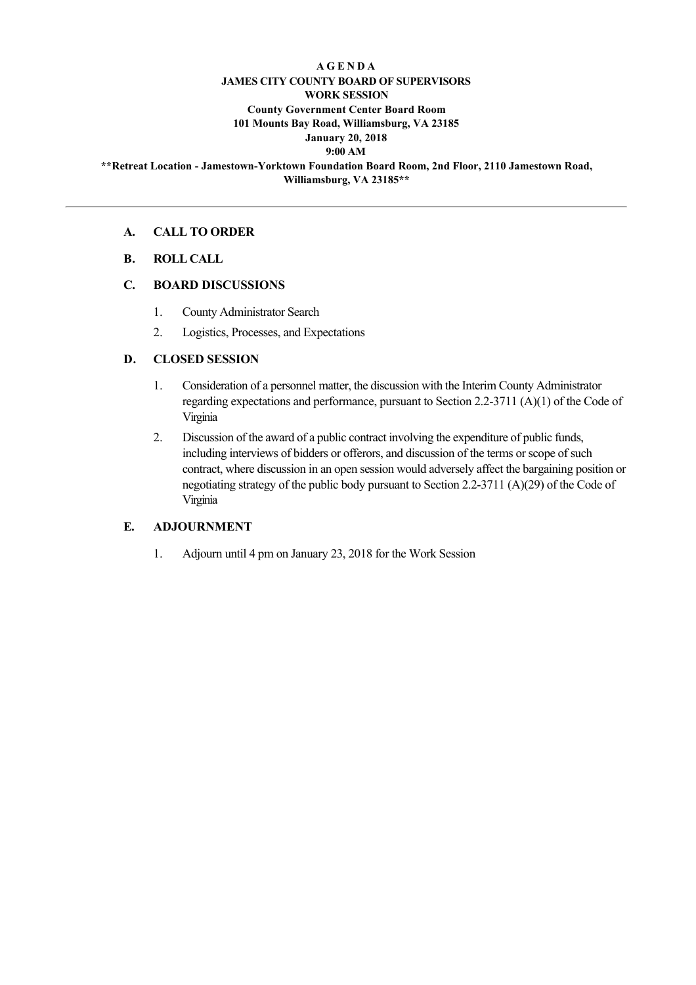### **A G E N D A JAMES CITY COUNTY BOARD OF SUPERVISORS WORK SESSION County Government Center Board Room 101 Mounts Bay Road, Williamsburg, VA 23185 January 20, 2018 9:00 AM**

**\*\*Retreat Location JamestownYorktown Foundation Board Room, 2nd Floor, 2110 Jamestown Road, Williamsburg, VA 23185\*\***

#### **A. CALL TO ORDER**

**B. ROLL CALL**

#### **C. BOARD DISCUSSIONS**

- 1. County Administrator Search
- 2. Logistics, Processes, and Expectations

### **D. CLOSED SESSION**

- 1. Consideration of a personnel matter, the discussion with the Interim County Administrator regarding expectations and performance, pursuant to Section 2.23711 (A)(1) of the Code of Virginia
- 2. Discussion of the award of a public contract involving the expenditure of public funds, including interviews of bidders or offerors, and discussion of the terms or scope of such contract, where discussion in an open session would adversely affect the bargaining position or negotiating strategy of the public body pursuant to Section 2.2-3711 (A)(29) of the Code of Virginia

### **E. ADJOURNMENT**

1. Adjourn until 4 pm on January 23, 2018 for the Work Session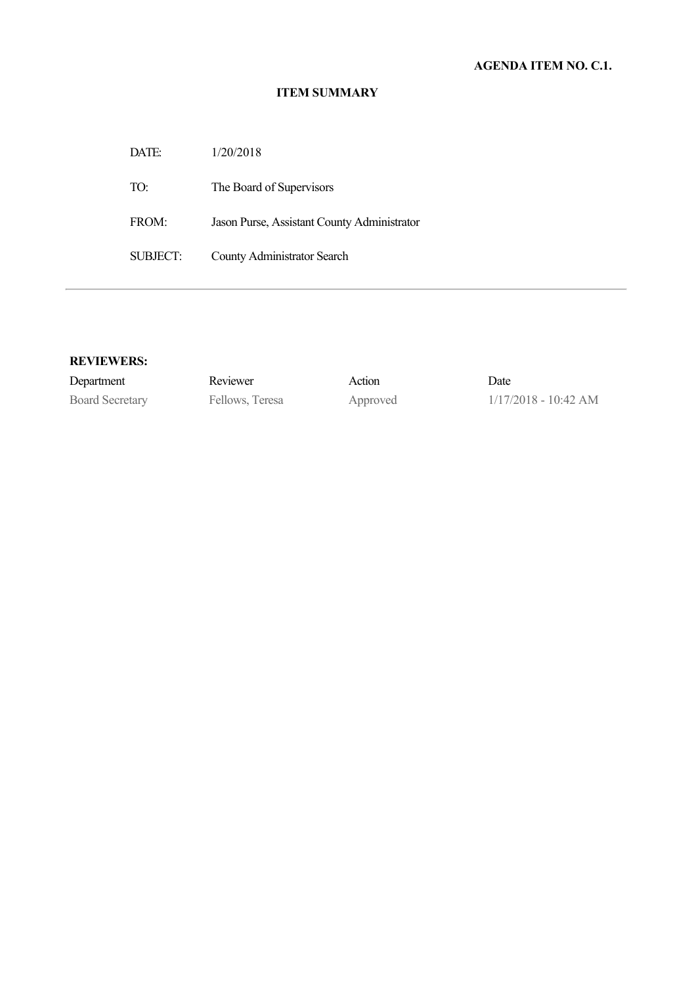### **ITEM SUMMARY**

DATE: 1/20/2018 TO: The Board of Supervisors FROM: Jason Purse, Assistant County Administrator SUBJECT: County Administrator Search

| Department             | Reviewer        | Action   | Date                   |
|------------------------|-----------------|----------|------------------------|
| <b>Board Secretary</b> | Fellows, Teresa | Approved | $1/17/2018 - 10:42$ AM |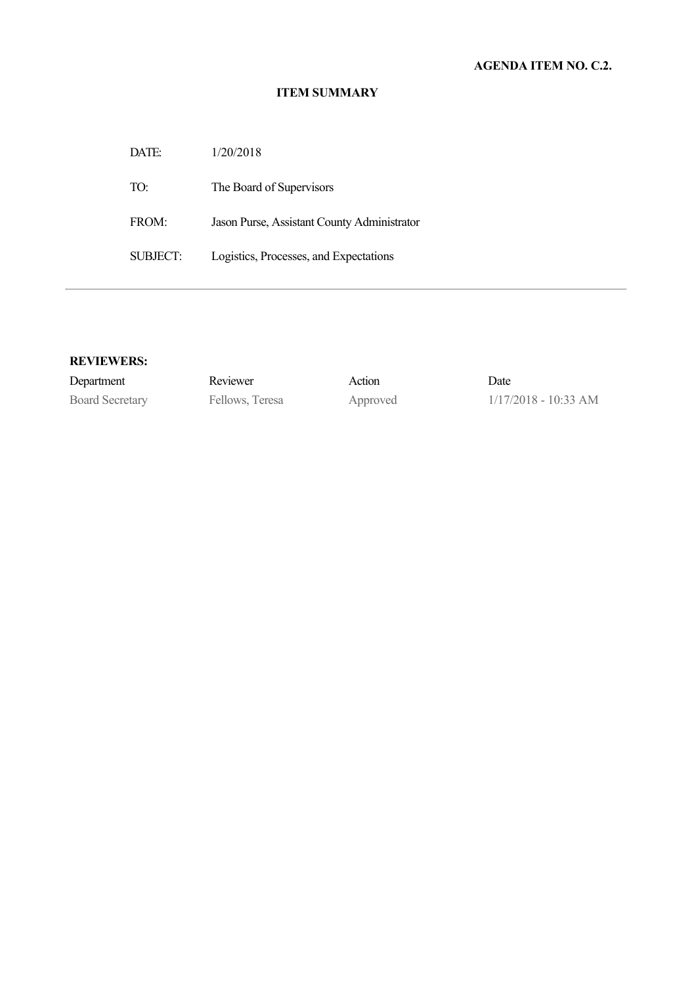### **ITEM SUMMARY**

| DATE:    | 1/20/2018                                   |
|----------|---------------------------------------------|
| TO:      | The Board of Supervisors                    |
| FROM:    | Jason Purse, Assistant County Administrator |
| SUBJECT: | Logistics, Processes, and Expectations      |

| Department             | Reviewer        | Action   | Date                   |
|------------------------|-----------------|----------|------------------------|
| <b>Board Secretary</b> | Fellows, Teresa | Approved | $1/17/2018 - 10:33$ AM |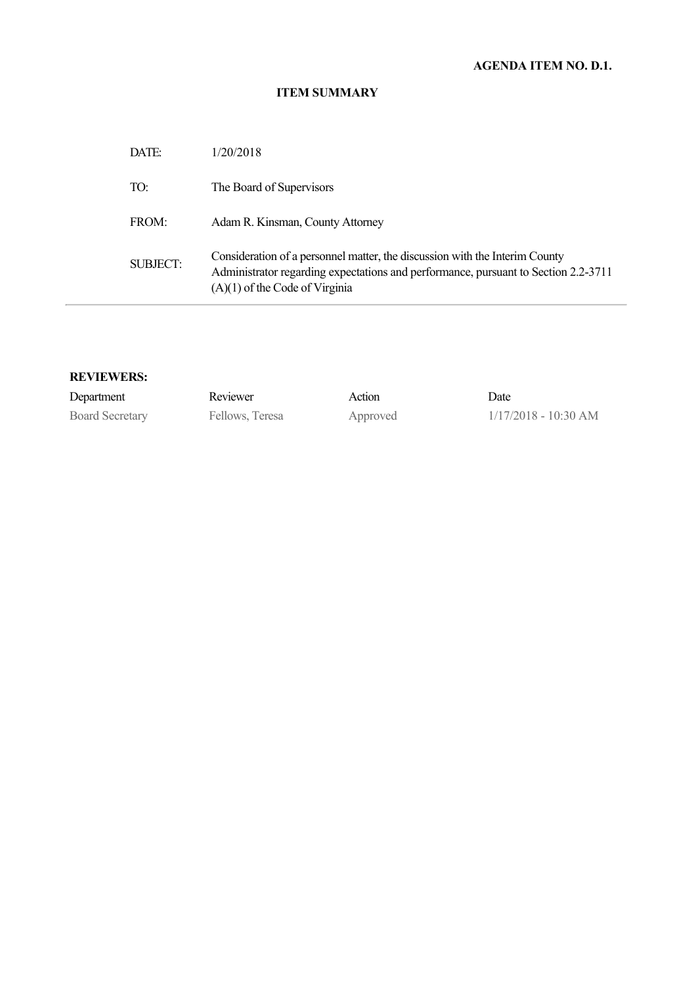# **AGENDA ITEM NO. D.1.**

### **ITEM SUMMARY**

| DATE:    | 1/20/2018                                                                                                                                                                                             |
|----------|-------------------------------------------------------------------------------------------------------------------------------------------------------------------------------------------------------|
| TO:      | The Board of Supervisors                                                                                                                                                                              |
| FROM:    | Adam R. Kinsman, County Attorney                                                                                                                                                                      |
| SUBJECT: | Consideration of a personnel matter, the discussion with the Interim County<br>Administrator regarding expectations and performance, pursuant to Section 2.2-3711<br>$(A)(1)$ of the Code of Virginia |

| Department             | Reviewer        | Action   | Date                   |
|------------------------|-----------------|----------|------------------------|
| <b>Board Secretary</b> | Fellows, Teresa | Approved | $1/17/2018 - 10:30$ AM |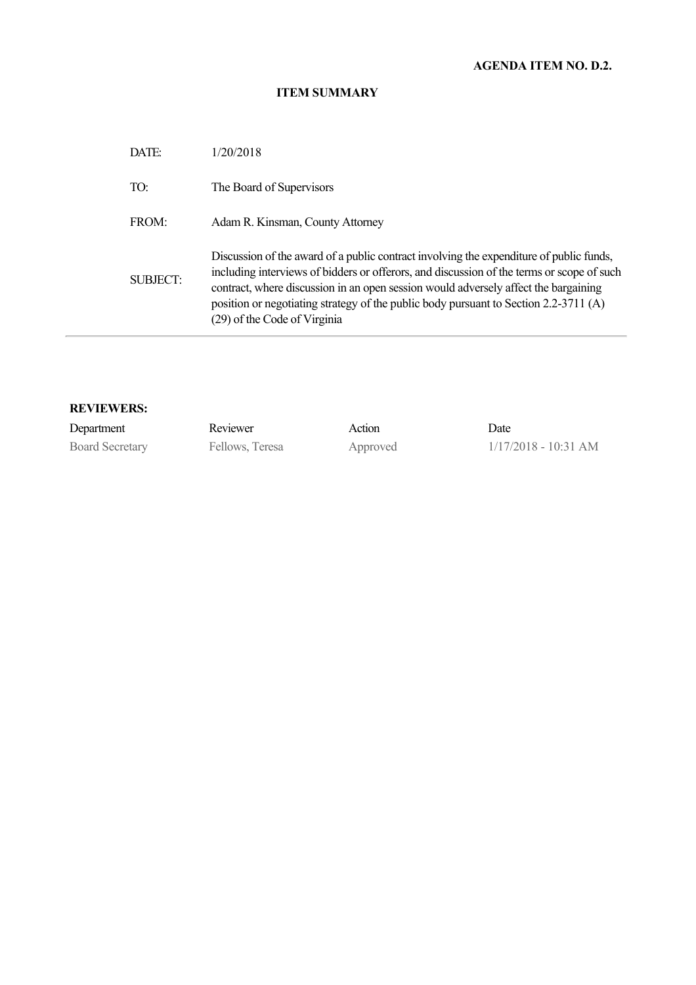# **AGENDA ITEM NO. D.2.**

### **ITEM SUMMARY**

| DATE:    | 1/20/2018                                                                                                                                                                                                                                                                                                                                                                                           |
|----------|-----------------------------------------------------------------------------------------------------------------------------------------------------------------------------------------------------------------------------------------------------------------------------------------------------------------------------------------------------------------------------------------------------|
| TO:      | The Board of Supervisors                                                                                                                                                                                                                                                                                                                                                                            |
| FROM:    | Adam R. Kinsman, County Attorney                                                                                                                                                                                                                                                                                                                                                                    |
| SUBJECT: | Discussion of the award of a public contract involving the expenditure of public funds,<br>including interviews of bidders or offerors, and discussion of the terms or scope of such<br>contract, where discussion in an open session would adversely affect the bargaining<br>position or negotiating strategy of the public body pursuant to Section 2.2-3711 (A)<br>(29) of the Code of Virginia |

| Department             | Reviewer        | Action   | Date                   |
|------------------------|-----------------|----------|------------------------|
| <b>Board Secretary</b> | Fellows, Teresa | Approved | $1/17/2018 - 10:31$ AM |